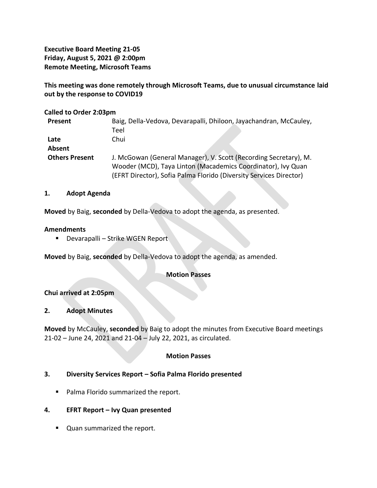**Executive Board Meeting 21-05 Friday, August 5, 2021 @ 2:00pm Remote Meeting, Microsoft Teams**

**This meeting was done remotely through Microsoft Teams, due to unusual circumstance laid out by the response to COVID19**

#### **Called to Order 2:03pm**

| Present               | Baig, Della-Vedova, Devarapalli, Dhiloon, Jayachandran, McCauley,  |
|-----------------------|--------------------------------------------------------------------|
|                       | Teel                                                               |
| Late                  | Chui                                                               |
| Absent                |                                                                    |
| <b>Others Present</b> | J. McGowan (General Manager), V. Scott (Recording Secretary), M.   |
|                       | Wooder (MCD), Taya Linton (Macademics Coordinator), Ivy Quan       |
|                       | (EFRT Director), Sofia Palma Florido (Diversity Services Director) |

#### **1. Adopt Agenda**

**Moved** by Baig, **seconded** by Della-Vedova to adopt the agenda, as presented.

#### **Amendments**

■ Devarapalli – Strike WGEN Report

**Moved** by Baig, **seconded** by Della-Vedova to adopt the agenda, as amended.

## **Motion Passes**

## **Chui arrived at 2:05pm**

## **2. Adopt Minutes**

**Moved** by McCauley, **seconded** by Baig to adopt the minutes from Executive Board meetings 21-02 – June 24, 2021 and 21-04 – July 22, 2021, as circulated.

## **Motion Passes**

## **3. Diversity Services Report – Sofia Palma Florido presented**

■ Palma Florido summarized the report.

## **4. EFRT Report – Ivy Quan presented**

■ Quan summarized the report.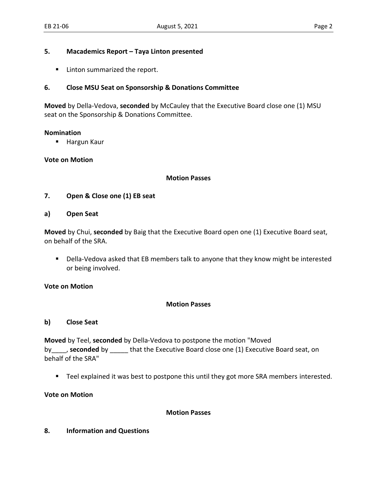#### **5. Macademics Report – Taya Linton presented**

■ Linton summarized the report.

# **6. Close MSU Seat on Sponsorship & Donations Committee**

**Moved** by Della-Vedova, **seconded** by McCauley that the Executive Board close one (1) MSU seat on the Sponsorship & Donations Committee.

#### **Nomination**

■ Hargun Kaur

## **Vote on Motion**

#### **Motion Passes**

# **7. Open & Close one (1) EB seat**

**a) Open Seat**

**Moved** by Chui, **seconded** by Baig that the Executive Board open one (1) Executive Board seat, on behalf of the SRA.

■ Della-Vedova asked that EB members talk to anyone that they know might be interested or being involved.

## **Vote on Motion**

## **Motion Passes**

## **b) Close Seat**

**Moved** by Teel, **seconded** by Della-Vedova to postpone the motion "Moved by\_\_\_\_, **seconded** by \_\_\_\_\_ that the Executive Board close one (1) Executive Board seat, on behalf of the SRA"

■ Teel explained it was best to postpone this until they got more SRA members interested.

**Vote on Motion**

## **Motion Passes**

## **8. Information and Questions**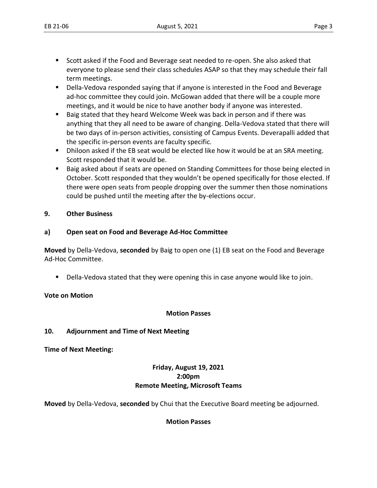- Scott asked if the Food and Beverage seat needed to re-open. She also asked that everyone to please send their class schedules ASAP so that they may schedule their fall term meetings.
- Della-Vedova responded saying that if anyone is interested in the Food and Beverage ad-hoc committee they could join. McGowan added that there will be a couple more meetings, and it would be nice to have another body if anyone was interested.
- Baig stated that they heard Welcome Week was back in person and if there was anything that they all need to be aware of changing. Della-Vedova stated that there will be two days of in-person activities, consisting of Campus Events. Deverapalli added that the specific in-person events are faculty specific.
- Dhiloon asked if the EB seat would be elected like how it would be at an SRA meeting. Scott responded that it would be.
- Baig asked about if seats are opened on Standing Committees for those being elected in October. Scott responded that they wouldn't be opened specifically for those elected. If there were open seats from people dropping over the summer then those nominations could be pushed until the meeting after the by-elections occur.

# **9. Other Business**

# **a) Open seat on Food and Beverage Ad-Hoc Committee**

**Moved** by Della-Vedova, **seconded** by Baig to open one (1) EB seat on the Food and Beverage Ad-Hoc Committee.

**•** Della-Vedova stated that they were opening this in case anyone would like to join.

## **Vote on Motion**

## **Motion Passes**

## **10. Adjournment and Time of Next Meeting**

**Time of Next Meeting:** 

# **Friday, August 19, 2021 2:00pm Remote Meeting, Microsoft Teams**

**Moved** by Della-Vedova, **seconded** by Chui that the Executive Board meeting be adjourned.

# **Motion Passes**